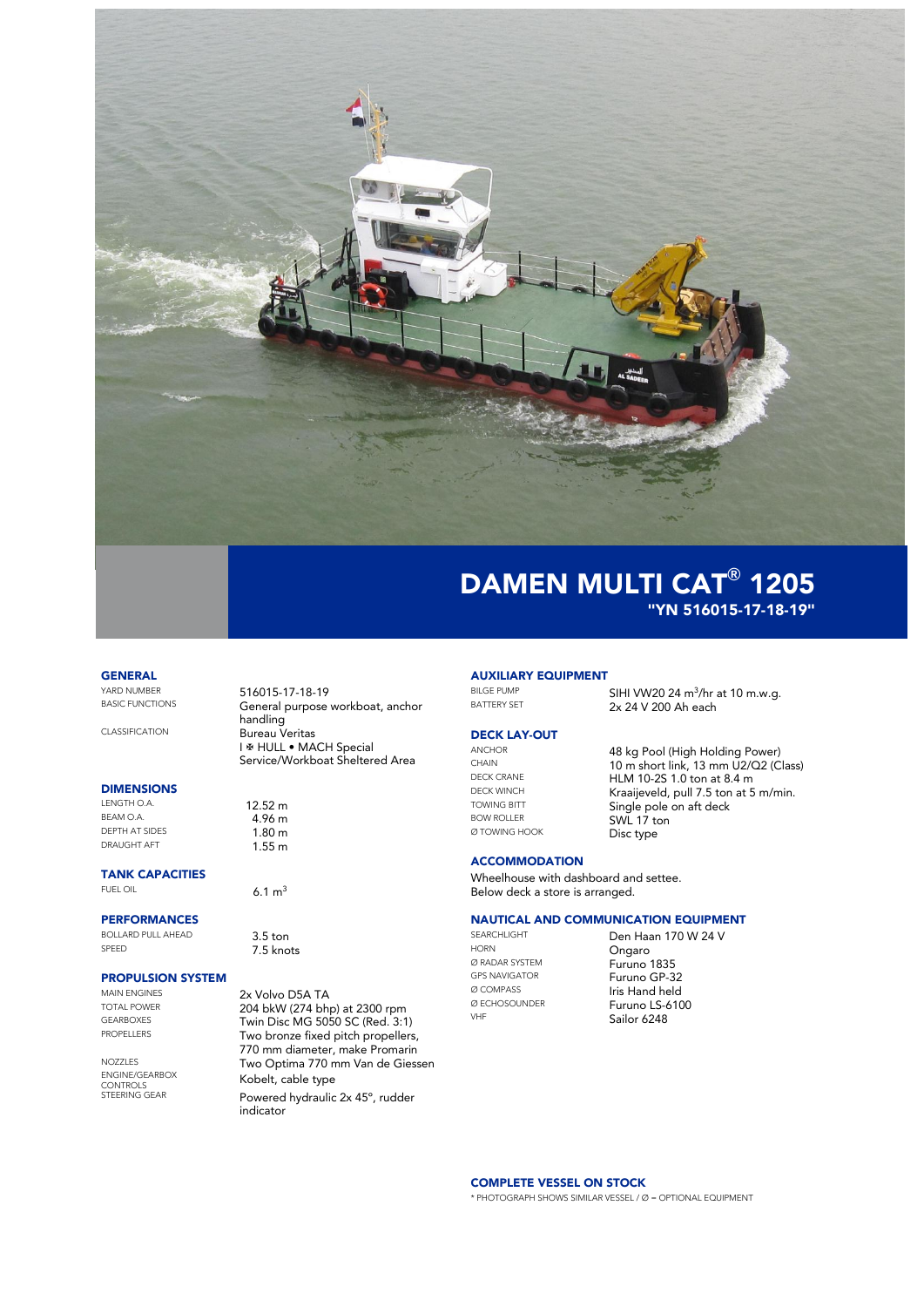

## **GENERAL**<br>YARD NUMBER

## **DIMENSIONS**<br>LENGTH O.A.

 $BEAM O.A.$ <br>  $DEFH AT SIDFS$  4.96 m DRAUGHT AFT

**TANK CAPACITIES**<br>FUEL OIL

#### PERFORMANCES

BOLLARD PULL AHEAD 3.5 ton

# **PROPULSION SYSTEM**

MAIN ENGINES<br>
TOTAL POWER **1990 - 204 bkW (274 bht** 

YARD NUMBER 516015-17-18-19 General purpose workboat, anchor handling CLASSIFICATION Bureau Veritas I & HULL • MACH Special Service/Workboat Sheltered Area

LENGTH O.A.  $12.52 \text{ m}$ <br>BEAM O.A.  $4.94 \text{ m}$  $1.80 m$ <br> $1.55 m$ 

6.1  $m<sup>3</sup>$ 

7.5 knots

TOTAL POWER<br>GEARBOXES 204 bkW (274 bhp) at 2300 rpm GEARBOXES Twin Disc MG 5050 SC (Red. 3:1)<br>PROPELLERS Two bronze fixed pitch propellers Two bronze fixed pitch propellers, 770 mm diameter, make Promarin NOZZLES Two Optima 770 mm Van de Giessen ENGINE/GEARBOX **Kobelt, cable type**<br>CONTROLS Powered hydraulic 2x 45°, rudder indicator

# **AUXILIARY EQUIPMENT**

BILGE PUMP  $SHI$  WV20 24 m<sup>3</sup>/hr at 10 m.w.g. BATTERY SET 2x 24 V 200 Ah each

### **DECK LAY-OUT**<br>ANCHOR

BOW ROLLER SWL 17 ton Ø TOWING HOOK Disc type

ANCHOR 48 kg Pool (High Holding Power)<br>CHAIN 10 m short link 13 mm 112/02 (C CHAIN  $10 \text{ m short link}$ ,  $13 \text{ mm } U2/Q2$  (Class)<br>DECK CRANE  $H1 M 10 25 1 0 \text{ ton at } 8.4 \text{ m}$ DECK CRANE **HLM 10-2S 1.0 ton at 8.4 m**<br>DECK WINCH **Kranipy of 5 top at 5** DECK WINCH Kraaijeveld, pull 7.5 ton at 5 m/min.<br>
TOWING BITT Single pole on aft dock TOWING BITT **Single pole on aft deck** 

#### **ACCOMMODATION**

Wheelhouse with dashboard and settee. Below deck a store is arranged.

#### NAUTICAL AND COMMUNICATION EQUIPMENT

HORN Ongaro **Ø RADAR SYSTEM** Furuno 1835<br>
GPS NAVIGATOR
Furuno GP-3

SEARCHLIGHT **Den Haan 170 W 24 V** GPS NAVIGATOR<br>  $\emptyset$  COMPASS **Furuno GP-32** Ø COMPASS Iris Hand held Ø ECHOSOUNDER<br>VHE **Sailor 6248** Sailor 6248

### COMPLETE VESSEL ON STOCK

\* PHOTOGRAPH SHOWS SIMILAR VESSEL / Ø = OPTIONAL EQUIPMENT